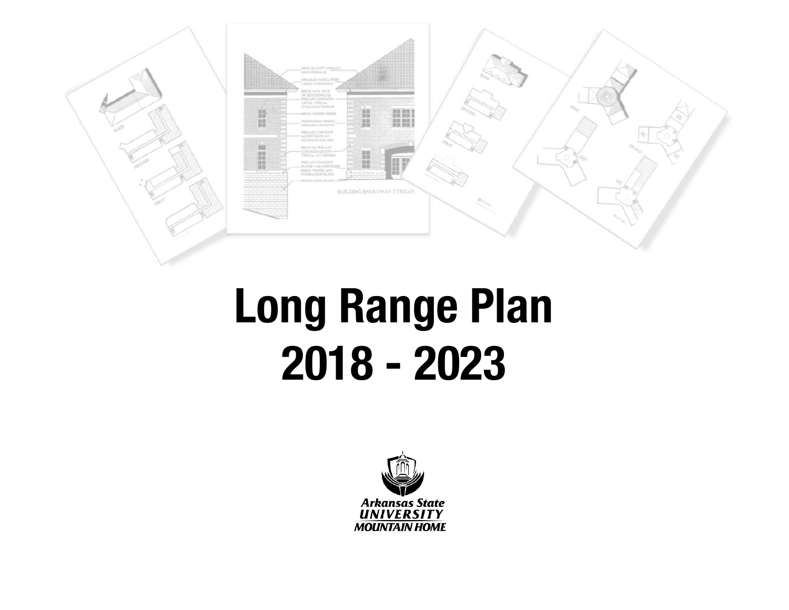

# **Long Range Plan 2018 - 2023**

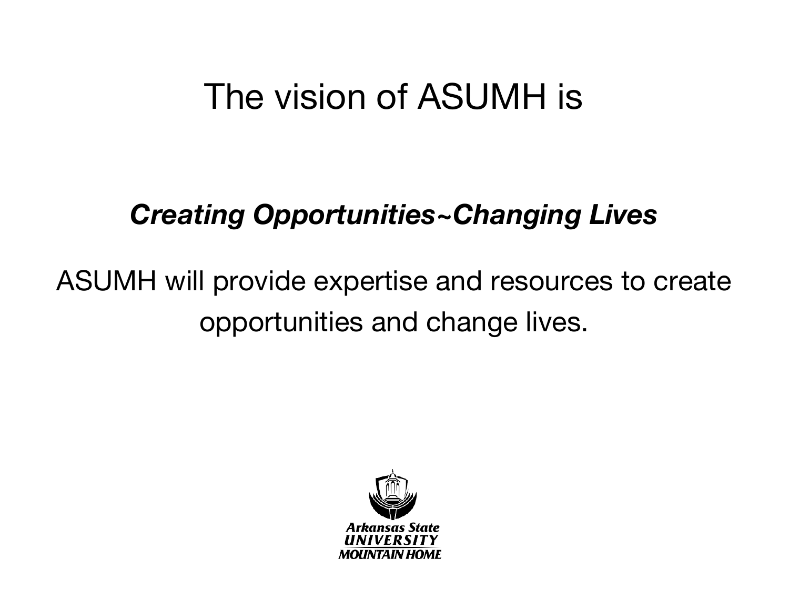## The vision of ASUMH is

#### *Creating Opportunities~Changing Lives*

### ASUMH will provide expertise and resources to create opportunities and change lives.

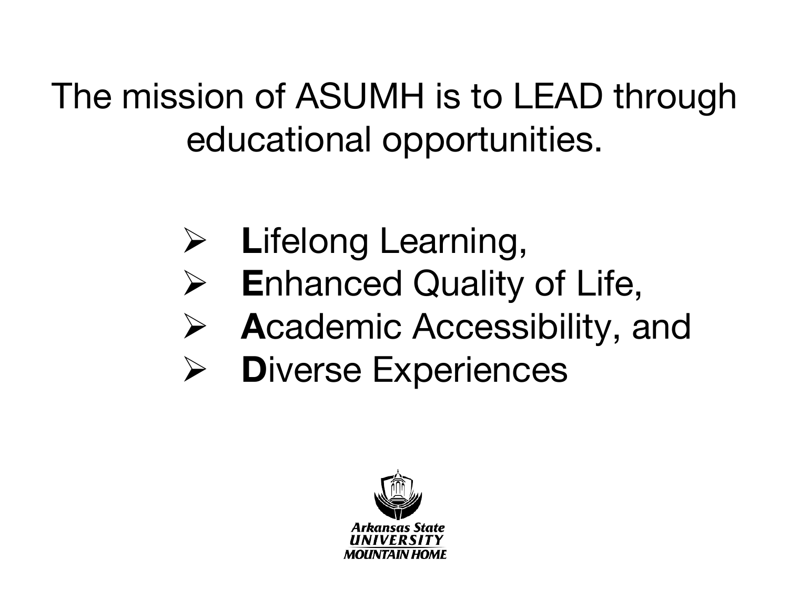# The mission of ASUMH is to LEAD through educational opportunities.

- Ø **L**ifelong Learning,
- Ø **E**nhanced Quality of Life,
- Ø **A**cademic Accessibility, and
- Ø **D**iverse Experiences

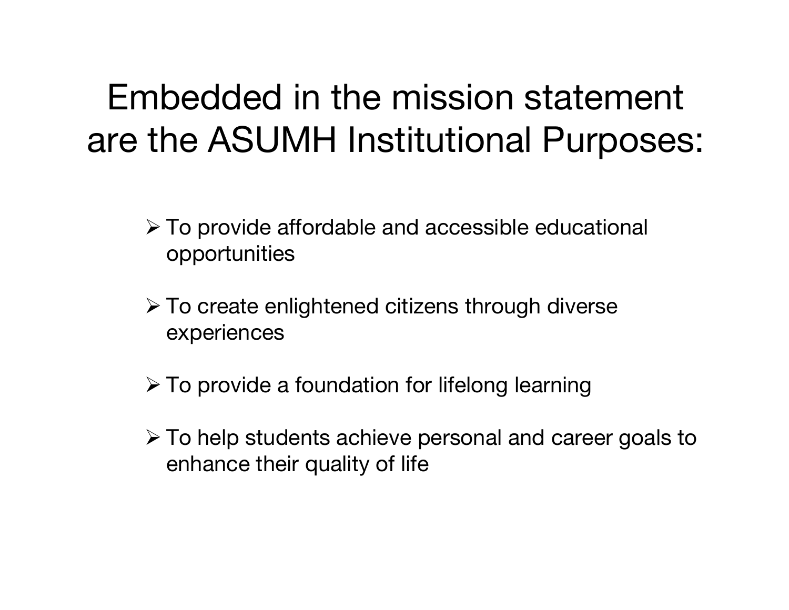## Embedded in the mission statement are the ASUMH Institutional Purposes:

- $\triangleright$  To provide affordable and accessible educational opportunities
- $\triangleright$  To create enlightened citizens through diverse experiences
- $\triangleright$  To provide a foundation for lifelong learning
- $\triangleright$  To help students achieve personal and career goals to enhance their quality of life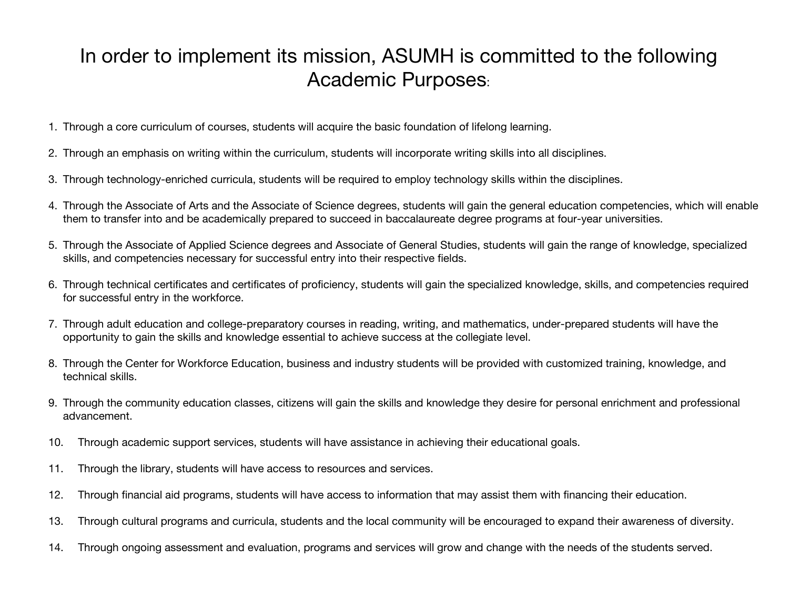#### In order to implement its mission, ASUMH is committed to the following Academic Purposes:

- 1. Through a core curriculum of courses, students will acquire the basic foundation of lifelong learning.
- 2. Through an emphasis on writing within the curriculum, students will incorporate writing skills into all disciplines.
- 3. Through technology-enriched curricula, students will be required to employ technology skills within the disciplines.
- 4. Through the Associate of Arts and the Associate of Science degrees, students will gain the general education competencies, which will enable them to transfer into and be academically prepared to succeed in baccalaureate degree programs at four-year universities.
- 5. Through the Associate of Applied Science degrees and Associate of General Studies, students will gain the range of knowledge, specialized skills, and competencies necessary for successful entry into their respective fields.
- 6. Through technical certificates and certificates of proficiency, students will gain the specialized knowledge, skills, and competencies required for successful entry in the workforce.
- 7. Through adult education and college-preparatory courses in reading, writing, and mathematics, under-prepared students will have the opportunity to gain the skills and knowledge essential to achieve success at the collegiate level.
- 8. Through the Center for Workforce Education, business and industry students will be provided with customized training, knowledge, and technical skills.
- 9. Through the community education classes, citizens will gain the skills and knowledge they desire for personal enrichment and professional advancement.
- 10. Through academic support services, students will have assistance in achieving their educational goals.
- 11. Through the library, students will have access to resources and services.
- 12. Through financial aid programs, students will have access to information that may assist them with financing their education.
- 13. Through cultural programs and curricula, students and the local community will be encouraged to expand their awareness of diversity.
- 14. Through ongoing assessment and evaluation, programs and services will grow and change with the needs of the students served.